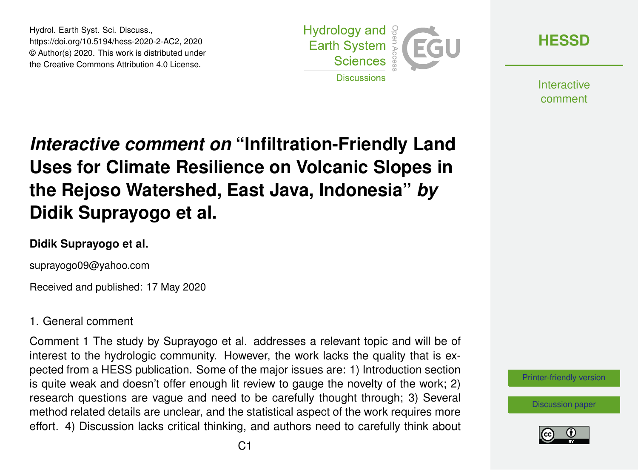Hydrol. Earth Syst. Sci. Discuss., https://doi.org/10.5194/hess-2020-2-AC2, 2020 © Author(s) 2020. This work is distributed under the Creative Commons Attribution 4.0 License.



**[HESSD](https://www.hydrol-earth-syst-sci-discuss.net/)**

**Interactive** comment

# *Interactive comment on* **"Infiltration-Friendly Land Uses for Climate Resilience on Volcanic Slopes in the Rejoso Watershed, East Java, Indonesia"** *by* **Didik Suprayogo et al.**

#### **Didik Suprayogo et al.**

suprayogo09@yahoo.com

Received and published: 17 May 2020

#### 1. General comment

Comment 1 The study by Suprayogo et al. addresses a relevant topic and will be of interest to the hydrologic community. However, the work lacks the quality that is expected from a HESS publication. Some of the major issues are: 1) Introduction section is quite weak and doesn't offer enough lit review to gauge the novelty of the work; 2) research questions are vague and need to be carefully thought through; 3) Several method related details are unclear, and the statistical aspect of the work requires more effort. 4) Discussion lacks critical thinking, and authors need to carefully think about



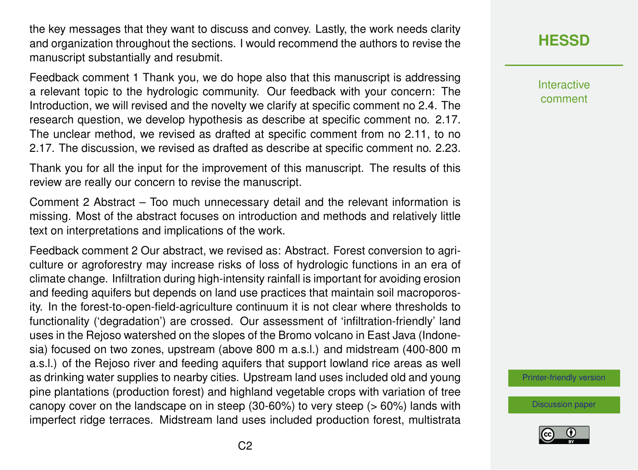the key messages that they want to discuss and convey. Lastly, the work needs clarity and organization throughout the sections. I would recommend the authors to revise the manuscript substantially and resubmit.

Feedback comment 1 Thank you, we do hope also that this manuscript is addressing a relevant topic to the hydrologic community. Our feedback with your concern: The Introduction, we will revised and the novelty we clarify at specific comment no 2.4. The research question, we develop hypothesis as describe at specific comment no. 2.17. The unclear method, we revised as drafted at specific comment from no 2.11, to no 2.17. The discussion, we revised as drafted as describe at specific comment no. 2.23.

Thank you for all the input for the improvement of this manuscript. The results of this review are really our concern to revise the manuscript.

Comment 2 Abstract – Too much unnecessary detail and the relevant information is missing. Most of the abstract focuses on introduction and methods and relatively little text on interpretations and implications of the work.

Feedback comment 2 Our abstract, we revised as: Abstract. Forest conversion to agriculture or agroforestry may increase risks of loss of hydrologic functions in an era of climate change. Infiltration during high-intensity rainfall is important for avoiding erosion and feeding aquifers but depends on land use practices that maintain soil macroporosity. In the forest-to-open-field-agriculture continuum it is not clear where thresholds to functionality ('degradation') are crossed. Our assessment of 'infiltration-friendly' land uses in the Rejoso watershed on the slopes of the Bromo volcano in East Java (Indonesia) focused on two zones, upstream (above 800 m a.s.l.) and midstream (400-800 m a.s.l.) of the Rejoso river and feeding aquifers that support lowland rice areas as well as drinking water supplies to nearby cities. Upstream land uses included old and young pine plantations (production forest) and highland vegetable crops with variation of tree canopy cover on the landscape on in steep (30-60%) to very steep (> 60%) lands with imperfect ridge terraces. Midstream land uses included production forest, multistrata

# **[HESSD](https://www.hydrol-earth-syst-sci-discuss.net/)**

Interactive comment

[Printer-friendly version](https://www.hydrol-earth-syst-sci-discuss.net/hess-2020-2/hess-2020-2-AC2-print.pdf)

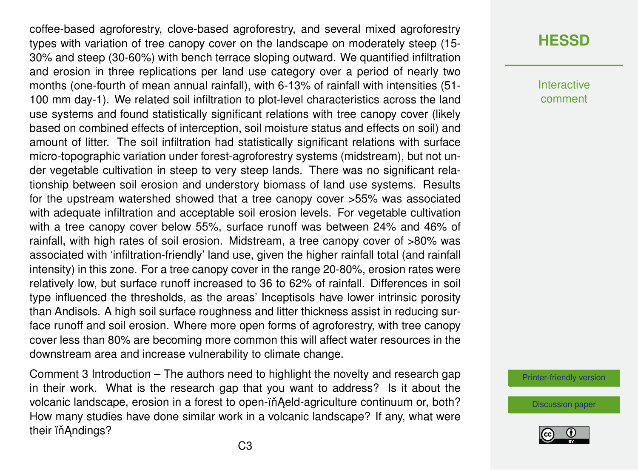coffee-based agroforestry, clove-based agroforestry, and several mixed agroforestry types with variation of tree canopy cover on the landscape on moderately steep (15- 30% and steep (30-60%) with bench terrace sloping outward. We quantified infiltration and erosion in three replications per land use category over a period of nearly two months (one-fourth of mean annual rainfall), with 6-13% of rainfall with intensities (51- 100 mm day-1). We related soil infiltration to plot-level characteristics across the land use systems and found statistically significant relations with tree canopy cover (likely based on combined effects of interception, soil moisture status and effects on soil) and amount of litter. The soil infiltration had statistically significant relations with surface micro-topographic variation under forest-agroforestry systems (midstream), but not under vegetable cultivation in steep to very steep lands. There was no significant relationship between soil erosion and understory biomass of land use systems. Results for the upstream watershed showed that a tree canopy cover >55% was associated with adequate infiltration and acceptable soil erosion levels. For vegetable cultivation with a tree canopy cover below 55%, surface runoff was between 24% and 46% of rainfall, with high rates of soil erosion. Midstream, a tree canopy cover of >80% was associated with 'infiltration-friendly' land use, given the higher rainfall total (and rainfall intensity) in this zone. For a tree canopy cover in the range 20-80%, erosion rates were relatively low, but surface runoff increased to 36 to 62% of rainfall. Differences in soil type influenced the thresholds, as the areas' Inceptisols have lower intrinsic porosity than Andisols. A high soil surface roughness and litter thickness assist in reducing surface runoff and soil erosion. Where more open forms of agroforestry, with tree canopy cover less than 80% are becoming more common this will affect water resources in the downstream area and increase vulnerability to climate change.

Comment 3 Introduction – The authors need to highlight the novelty and research gap in their work. What is the research gap that you want to address? Is it about the volcanic landscape, erosion in a forest to open-in Aeld-agriculture continuum or, both? How many studies have done similar work in a volcanic landscape? If any, what were their ïň Andings?

# **[HESSD](https://www.hydrol-earth-syst-sci-discuss.net/)**

Interactive comment

[Printer-friendly version](https://www.hydrol-earth-syst-sci-discuss.net/hess-2020-2/hess-2020-2-AC2-print.pdf)

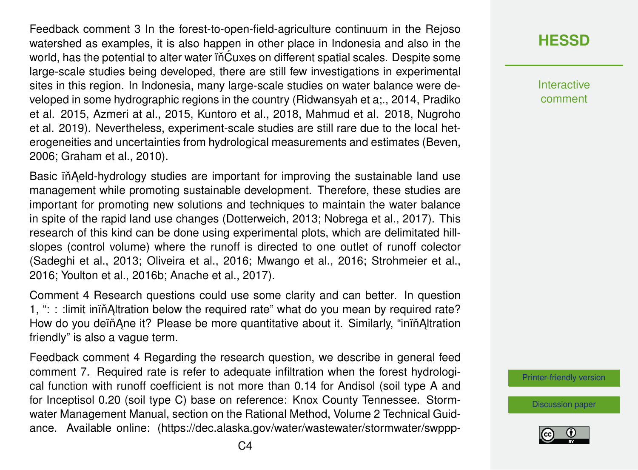Feedback comment 3 In the forest-to-open-field-agriculture continuum in the Rejoso watershed as examples, it is also happen in other place in Indonesia and also in the world, has the potential to alter water in Cuxes on different spatial scales. Despite some large-scale studies being developed, there are still few investigations in experimental sites in this region. In Indonesia, many large-scale studies on water balance were developed in some hydrographic regions in the country (Ridwansyah et a;., 2014, Pradiko et al. 2015, Azmeri at al., 2015, Kuntoro et al., 2018, Mahmud et al. 2018, Nugroho et al. 2019). Nevertheless, experiment-scale studies are still rare due to the local heterogeneities and uncertainties from hydrological measurements and estimates (Beven, 2006; Graham et al., 2010).

Basic in Aeld-hydrology studies are important for improving the sustainable land use management while promoting sustainable development. Therefore, these studies are important for promoting new solutions and techniques to maintain the water balance in spite of the rapid land use changes (Dotterweich, 2013; Nobrega et al., 2017). This research of this kind can be done using experimental plots, which are delimitated hillslopes (control volume) where the runoff is directed to one outlet of runoff colector (Sadeghi et al., 2013; Oliveira et al., 2016; Mwango et al., 2016; Strohmeier et al., 2016; Youlton et al., 2016b; Anache et al., 2017).

Comment 4 Research questions could use some clarity and can better. In question 1, " $\therefore$  : : : limit inin Altration below the required rate" what do you mean by required rate? How do you deïň Ane it? Please be more quantitative about it. Similarly, "inin Altration friendly" is also a vague term.

Feedback comment 4 Regarding the research question, we describe in general feed comment 7. Required rate is refer to adequate infiltration when the forest hydrological function with runoff coefficient is not more than 0.14 for Andisol (soil type A and for Inceptisol 0.20 (soil type C) base on reference: Knox County Tennessee. Stormwater Management Manual, section on the Rational Method, Volume 2 Technical Guidance. Available online: (https://dec.alaska.gov/water/wastewater/stormwater/swppp**[HESSD](https://www.hydrol-earth-syst-sci-discuss.net/)**

**Interactive** comment

[Printer-friendly version](https://www.hydrol-earth-syst-sci-discuss.net/hess-2020-2/hess-2020-2-AC2-print.pdf)

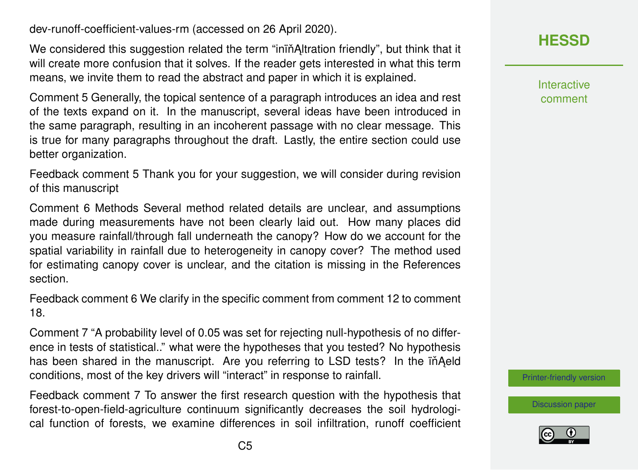dev-runoff-coefficient-values-rm (accessed on 26 April 2020).

We considered this suggestion related the term "ining estration friendly", but think that it will create more confusion that it solves. If the reader gets interested in what this term means, we invite them to read the abstract and paper in which it is explained.

Comment 5 Generally, the topical sentence of a paragraph introduces an idea and rest of the texts expand on it. In the manuscript, several ideas have been introduced in the same paragraph, resulting in an incoherent passage with no clear message. This is true for many paragraphs throughout the draft. Lastly, the entire section could use better organization.

Feedback comment 5 Thank you for your suggestion, we will consider during revision of this manuscript

Comment 6 Methods Several method related details are unclear, and assumptions made during measurements have not been clearly laid out. How many places did you measure rainfall/through fall underneath the canopy? How do we account for the spatial variability in rainfall due to heterogeneity in canopy cover? The method used for estimating canopy cover is unclear, and the citation is missing in the References section.

Feedback comment 6 We clarify in the specific comment from comment 12 to comment 18.

Comment 7 "A probability level of 0.05 was set for rejecting null-hypothesis of no difference in tests of statistical.." what were the hypotheses that you tested? No hypothesis has been shared in the manuscript. Are you referring to LSD tests? In the in Aeld conditions, most of the key drivers will "interact" in response to rainfall.

Feedback comment 7 To answer the first research question with the hypothesis that forest-to-open-field-agriculture continuum significantly decreases the soil hydrological function of forests, we examine differences in soil infiltration, runoff coefficient

# **[HESSD](https://www.hydrol-earth-syst-sci-discuss.net/)**

Interactive comment

[Printer-friendly version](https://www.hydrol-earth-syst-sci-discuss.net/hess-2020-2/hess-2020-2-AC2-print.pdf)

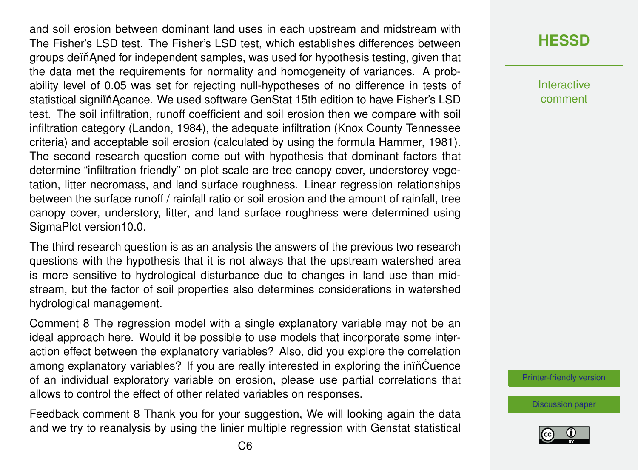and soil erosion between dominant land uses in each upstream and midstream with The Fisher's LSD test. The Fisher's LSD test, which establishes differences between groups deïň Aned for independent samples, was used for hypothesis testing, given that the data met the requirements for normality and homogeneity of variances. A probability level of 0.05 was set for rejecting null-hypotheses of no difference in tests of statistical signiin Acance. We used software GenStat 15th edition to have Fisher's LSD test. The soil infiltration, runoff coefficient and soil erosion then we compare with soil infiltration category (Landon, 1984), the adequate infiltration (Knox County Tennessee criteria) and acceptable soil erosion (calculated by using the formula Hammer, 1981). The second research question come out with hypothesis that dominant factors that determine "infiltration friendly" on plot scale are tree canopy cover, understorey vegetation, litter necromass, and land surface roughness. Linear regression relationships between the surface runoff / rainfall ratio or soil erosion and the amount of rainfall, tree canopy cover, understory, litter, and land surface roughness were determined using SigmaPlot version10.0.

The third research question is as an analysis the answers of the previous two research questions with the hypothesis that it is not always that the upstream watershed area is more sensitive to hydrological disturbance due to changes in land use than midstream, but the factor of soil properties also determines considerations in watershed hydrological management.

Comment 8 The regression model with a single explanatory variable may not be an ideal approach here. Would it be possible to use models that incorporate some interaction effect between the explanatory variables? Also, did you explore the correlation among explanatory variables? If you are really interested in exploring the inin<sup>cuence</sup> of an individual exploratory variable on erosion, please use partial correlations that allows to control the effect of other related variables on responses.

Feedback comment 8 Thank you for your suggestion, We will looking again the data and we try to reanalysis by using the linier multiple regression with Genstat statistical **[HESSD](https://www.hydrol-earth-syst-sci-discuss.net/)**

**Interactive** comment

[Printer-friendly version](https://www.hydrol-earth-syst-sci-discuss.net/hess-2020-2/hess-2020-2-AC2-print.pdf)

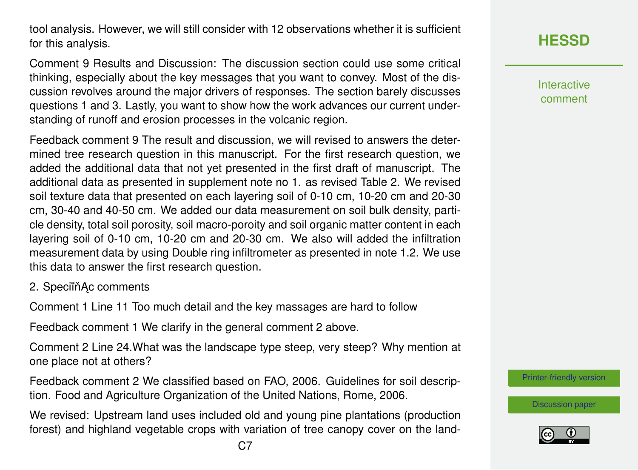tool analysis. However, we will still consider with 12 observations whether it is sufficient for this analysis.

Comment 9 Results and Discussion: The discussion section could use some critical thinking, especially about the key messages that you want to convey. Most of the discussion revolves around the major drivers of responses. The section barely discusses questions 1 and 3. Lastly, you want to show how the work advances our current understanding of runoff and erosion processes in the volcanic region.

Feedback comment 9 The result and discussion, we will revised to answers the determined tree research question in this manuscript. For the first research question, we added the additional data that not yet presented in the first draft of manuscript. The additional data as presented in supplement note no 1. as revised Table 2. We revised soil texture data that presented on each layering soil of 0-10 cm, 10-20 cm and 20-30 cm, 30-40 and 40-50 cm. We added our data measurement on soil bulk density, particle density, total soil porosity, soil macro-poroity and soil organic matter content in each layering soil of 0-10 cm, 10-20 cm and 20-30 cm. We also will added the infiltration measurement data by using Double ring infiltrometer as presented in note 1.2. We use this data to answer the first research question.

2. SpeciïňAc comments

Comment 1 Line 11 Too much detail and the key massages are hard to follow

Feedback comment 1 We clarify in the general comment 2 above.

Comment 2 Line 24.What was the landscape type steep, very steep? Why mention at one place not at others?

Feedback comment 2 We classified based on FAO, 2006. Guidelines for soil description. Food and Agriculture Organization of the United Nations, Rome, 2006.

We revised: Upstream land uses included old and young pine plantations (production forest) and highland vegetable crops with variation of tree canopy cover on the landInteractive comment

[Printer-friendly version](https://www.hydrol-earth-syst-sci-discuss.net/hess-2020-2/hess-2020-2-AC2-print.pdf)

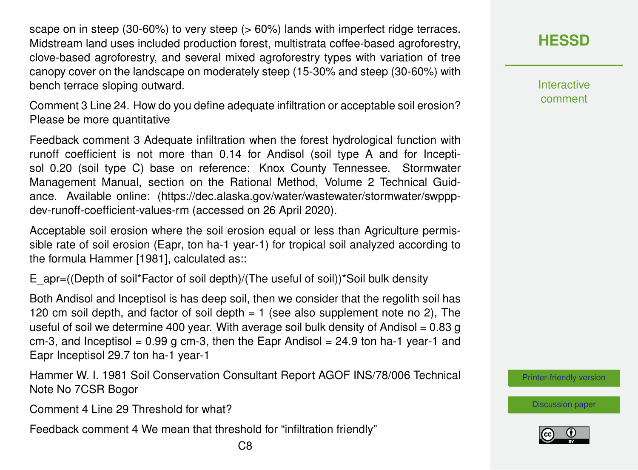scape on in steep (30-60%) to very steep (> 60%) lands with imperfect ridge terraces. Midstream land uses included production forest, multistrata coffee-based agroforestry, clove-based agroforestry, and several mixed agroforestry types with variation of tree canopy cover on the landscape on moderately steep (15-30% and steep (30-60%) with bench terrace sloping outward.

Comment 3 Line 24. How do you define adequate infiltration or acceptable soil erosion? Please be more quantitative

Feedback comment 3 Adequate infiltration when the forest hydrological function with runoff coefficient is not more than 0.14 for Andisol (soil type A and for Inceptisol 0.20 (soil type C) base on reference: Knox County Tennessee. Stormwater Management Manual, section on the Rational Method, Volume 2 Technical Guidance. Available online: (https://dec.alaska.gov/water/wastewater/stormwater/swpppdev-runoff-coefficient-values-rm (accessed on 26 April 2020).

Acceptable soil erosion where the soil erosion equal or less than Agriculture permissible rate of soil erosion (Eapr, ton ha-1 year-1) for tropical soil analyzed according to the formula Hammer [1981], calculated as::

E\_apr=((Depth of soil\*Factor of soil depth)/(The useful of soil))\*Soil bulk density

Both Andisol and Inceptisol is has deep soil, then we consider that the regolith soil has 120 cm soil depth, and factor of soil depth  $= 1$  (see also supplement note no 2). The useful of soil we determine 400 year. With average soil bulk density of Andisol =  $0.83$  g cm-3, and Inceptisol =  $0.99$  g cm-3, then the Eapr Andisol =  $24.9$  ton ha-1 year-1 and Eapr Inceptisol 29.7 ton ha-1 year-1

Hammer W. I. 1981 Soil Conservation Consultant Report AGOF INS/78/006 Technical Note No 7CSR Bogor

Comment 4 Line 29 Threshold for what?

Feedback comment 4 We mean that threshold for "infiltration friendly"

**[HESSD](https://www.hydrol-earth-syst-sci-discuss.net/)**

**Interactive** comment

[Printer-friendly version](https://www.hydrol-earth-syst-sci-discuss.net/hess-2020-2/hess-2020-2-AC2-print.pdf)

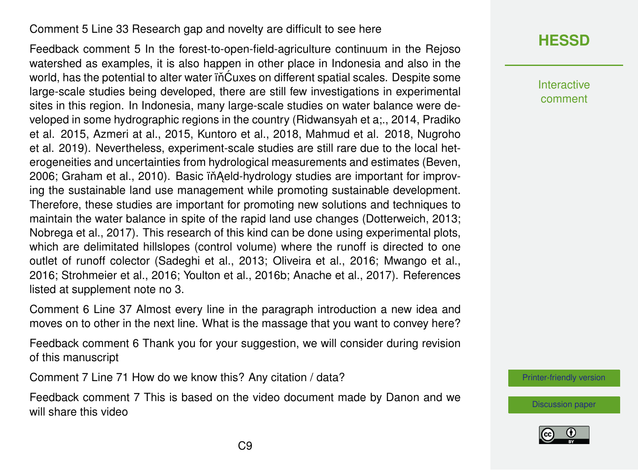#### Comment 5 Line 33 Research gap and novelty are difficult to see here

Feedback comment 5 In the forest-to-open-field-agriculture continuum in the Rejoso watershed as examples, it is also happen in other place in Indonesia and also in the world, has the potential to alter water iñĆuxes on different spatial scales. Despite some large-scale studies being developed, there are still few investigations in experimental sites in this region. In Indonesia, many large-scale studies on water balance were developed in some hydrographic regions in the country (Ridwansyah et a;., 2014, Pradiko et al. 2015, Azmeri at al., 2015, Kuntoro et al., 2018, Mahmud et al. 2018, Nugroho et al. 2019). Nevertheless, experiment-scale studies are still rare due to the local heterogeneities and uncertainties from hydrological measurements and estimates (Beven, 2006; Graham et al., 2010). Basic in Aeld-hydrology studies are important for improving the sustainable land use management while promoting sustainable development. Therefore, these studies are important for promoting new solutions and techniques to maintain the water balance in spite of the rapid land use changes (Dotterweich, 2013; Nobrega et al., 2017). This research of this kind can be done using experimental plots, which are delimitated hillslopes (control volume) where the runoff is directed to one outlet of runoff colector (Sadeghi et al., 2013; Oliveira et al., 2016; Mwango et al., 2016; Strohmeier et al., 2016; Youlton et al., 2016b; Anache et al., 2017). References listed at supplement note no 3.

Comment 6 Line 37 Almost every line in the paragraph introduction a new idea and moves on to other in the next line. What is the massage that you want to convey here?

Feedback comment 6 Thank you for your suggestion, we will consider during revision of this manuscript

Comment 7 Line 71 How do we know this? Any citation / data?

Feedback comment 7 This is based on the video document made by Danon and we will share this video

# **[HESSD](https://www.hydrol-earth-syst-sci-discuss.net/)**

Interactive comment

[Printer-friendly version](https://www.hydrol-earth-syst-sci-discuss.net/hess-2020-2/hess-2020-2-AC2-print.pdf)

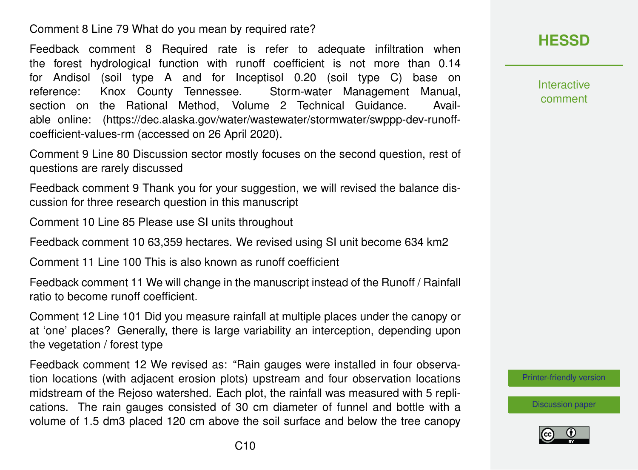Comment 8 Line 79 What do you mean by required rate?

Feedback comment 8 Required rate is refer to adequate infiltration when the forest hydrological function with runoff coefficient is not more than 0.14 for Andisol (soil type A and for Inceptisol 0.20 (soil type C) base on reference: Knox County Tennessee. Storm-water Management Manual, section on the Rational Method, Volume 2 Technical Guidance. Available online: (https://dec.alaska.gov/water/wastewater/stormwater/swppp-dev-runoffcoefficient-values-rm (accessed on 26 April 2020).

Comment 9 Line 80 Discussion sector mostly focuses on the second question, rest of questions are rarely discussed

Feedback comment 9 Thank you for your suggestion, we will revised the balance discussion for three research question in this manuscript

Comment 10 Line 85 Please use SI units throughout

Feedback comment 10 63,359 hectares. We revised using SI unit become 634 km2

Comment 11 Line 100 This is also known as runoff coefficient

Feedback comment 11 We will change in the manuscript instead of the Runoff / Rainfall ratio to become runoff coefficient.

Comment 12 Line 101 Did you measure rainfall at multiple places under the canopy or at 'one' places? Generally, there is large variability an interception, depending upon the vegetation / forest type

Feedback comment 12 We revised as: "Rain gauges were installed in four observation locations (with adjacent erosion plots) upstream and four observation locations midstream of the Rejoso watershed. Each plot, the rainfall was measured with 5 replications. The rain gauges consisted of 30 cm diameter of funnel and bottle with a volume of 1.5 dm3 placed 120 cm above the soil surface and below the tree canopy

### **[HESSD](https://www.hydrol-earth-syst-sci-discuss.net/)**

Interactive comment

[Printer-friendly version](https://www.hydrol-earth-syst-sci-discuss.net/hess-2020-2/hess-2020-2-AC2-print.pdf)

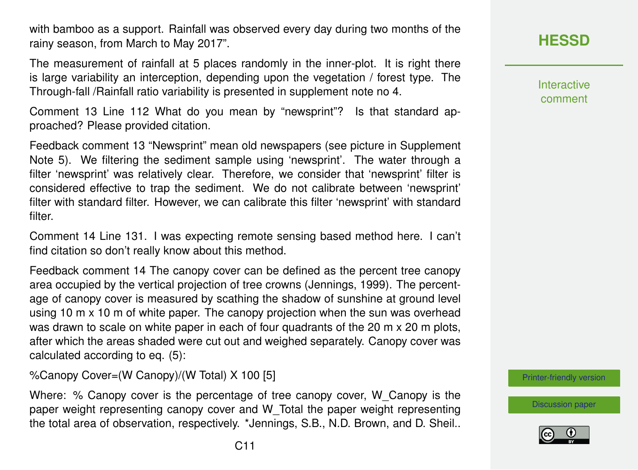with bamboo as a support. Rainfall was observed every day during two months of the rainy season, from March to May 2017".

The measurement of rainfall at 5 places randomly in the inner-plot. It is right there is large variability an interception, depending upon the vegetation / forest type. The Through-fall /Rainfall ratio variability is presented in supplement note no 4.

Comment 13 Line 112 What do you mean by "newsprint"? Is that standard approached? Please provided citation.

Feedback comment 13 "Newsprint" mean old newspapers (see picture in Supplement Note 5). We filtering the sediment sample using 'newsprint'. The water through a filter 'newsprint' was relatively clear. Therefore, we consider that 'newsprint' filter is considered effective to trap the sediment. We do not calibrate between 'newsprint' filter with standard filter. However, we can calibrate this filter 'newsprint' with standard filter.

Comment 14 Line 131. I was expecting remote sensing based method here. I can't find citation so don't really know about this method.

Feedback comment 14 The canopy cover can be defined as the percent tree canopy area occupied by the vertical projection of tree crowns (Jennings, 1999). The percentage of canopy cover is measured by scathing the shadow of sunshine at ground level using 10 m x 10 m of white paper. The canopy projection when the sun was overhead was drawn to scale on white paper in each of four quadrants of the 20 m x 20 m plots, after which the areas shaded were cut out and weighed separately. Canopy cover was calculated according to eq. (5):

%Canopy Cover=(W Canopy)/(W Total) X 100 [5]

Where: % Canopy cover is the percentage of tree canopy cover, W\_Canopy is the paper weight representing canopy cover and W\_Total the paper weight representing the total area of observation, respectively. \*Jennings, S.B., N.D. Brown, and D. Sheil.. Interactive comment

[Printer-friendly version](https://www.hydrol-earth-syst-sci-discuss.net/hess-2020-2/hess-2020-2-AC2-print.pdf)

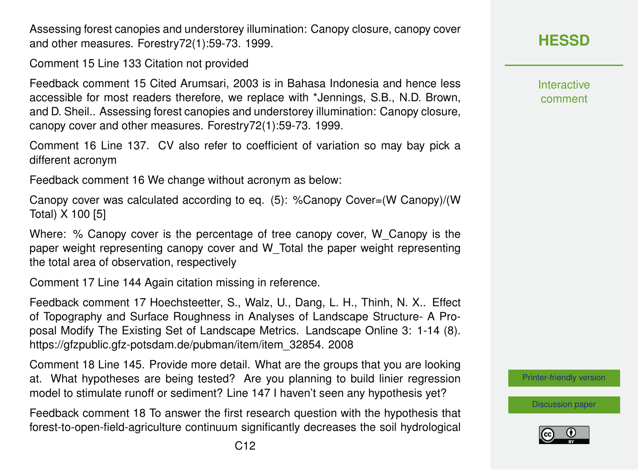C12

Assessing forest canopies and understorey illumination: Canopy closure, canopy cover and other measures. Forestry72(1):59-73. 1999.

Comment 15 Line 133 Citation not provided

Feedback comment 15 Cited Arumsari, 2003 is in Bahasa Indonesia and hence less accessible for most readers therefore, we replace with \*Jennings, S.B., N.D. Brown, and D. Sheil.. Assessing forest canopies and understorey illumination: Canopy closure, canopy cover and other measures. Forestry72(1):59-73. 1999.

Comment 16 Line 137. CV also refer to coefficient of variation so may bay pick a different acronym

Feedback comment 16 We change without acronym as below:

Canopy cover was calculated according to eq. (5): %Canopy Cover=(W Canopy)/(W Total) X 100 [5]

Where: % Canopy cover is the percentage of tree canopy cover, W\_Canopy is the paper weight representing canopy cover and W\_Total the paper weight representing the total area of observation, respectively

Comment 17 Line 144 Again citation missing in reference.

Feedback comment 17 Hoechsteetter, S., Walz, U., Dang, L. H., Thinh, N. X.. Effect of Topography and Surface Roughness in Analyses of Landscape Structure- A Proposal Modify The Existing Set of Landscape Metrics. Landscape Online 3: 1-14 (8). https://gfzpublic.gfz-potsdam.de/pubman/item/item\_32854. 2008

Comment 18 Line 145. Provide more detail. What are the groups that you are looking at. What hypotheses are being tested? Are you planning to build linier regression model to stimulate runoff or sediment? Line 147 I haven't seen any hypothesis yet?

Feedback comment 18 To answer the first research question with the hypothesis that forest-to-open-field-agriculture continuum significantly decreases the soil hydrological

# **[HESSD](https://www.hydrol-earth-syst-sci-discuss.net/)**

Interactive comment

[Printer-friendly version](https://www.hydrol-earth-syst-sci-discuss.net/hess-2020-2/hess-2020-2-AC2-print.pdf)

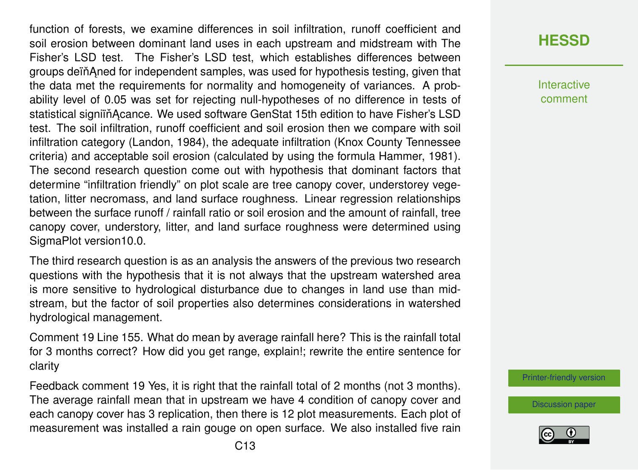function of forests, we examine differences in soil infiltration, runoff coefficient and soil erosion between dominant land uses in each upstream and midstream with The Fisher's LSD test. The Fisher's LSD test, which establishes differences between groups dein Aned for independent samples, was used for hypothesis testing, given that the data met the requirements for normality and homogeneity of variances. A probability level of 0.05 was set for rejecting null-hypotheses of no difference in tests of statistical signiïň Acance. We used software GenStat 15th edition to have Fisher's LSD test. The soil infiltration, runoff coefficient and soil erosion then we compare with soil infiltration category (Landon, 1984), the adequate infiltration (Knox County Tennessee criteria) and acceptable soil erosion (calculated by using the formula Hammer, 1981). The second research question come out with hypothesis that dominant factors that determine "infiltration friendly" on plot scale are tree canopy cover, understorey vegetation, litter necromass, and land surface roughness. Linear regression relationships between the surface runoff / rainfall ratio or soil erosion and the amount of rainfall, tree canopy cover, understory, litter, and land surface roughness were determined using SigmaPlot version10.0.

The third research question is as an analysis the answers of the previous two research questions with the hypothesis that it is not always that the upstream watershed area is more sensitive to hydrological disturbance due to changes in land use than midstream, but the factor of soil properties also determines considerations in watershed hydrological management.

Comment 19 Line 155. What do mean by average rainfall here? This is the rainfall total for 3 months correct? How did you get range, explain!; rewrite the entire sentence for clarity

Feedback comment 19 Yes, it is right that the rainfall total of 2 months (not 3 months). The average rainfall mean that in upstream we have 4 condition of canopy cover and each canopy cover has 3 replication, then there is 12 plot measurements. Each plot of measurement was installed a rain gouge on open surface. We also installed five rain **Interactive** comment

[Printer-friendly version](https://www.hydrol-earth-syst-sci-discuss.net/hess-2020-2/hess-2020-2-AC2-print.pdf)

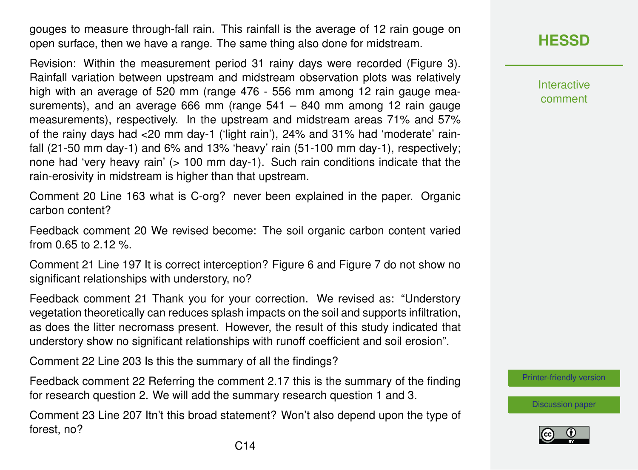gouges to measure through-fall rain. This rainfall is the average of 12 rain gouge on open surface, then we have a range. The same thing also done for midstream.

Revision: Within the measurement period 31 rainy days were recorded (Figure 3). Rainfall variation between upstream and midstream observation plots was relatively high with an average of 520 mm (range 476 - 556 mm among 12 rain gauge measurements), and an average 666 mm (range  $541 - 840$  mm among 12 rain gauge measurements), respectively. In the upstream and midstream areas 71% and 57% of the rainy days had <20 mm day-1 ('light rain'), 24% and 31% had 'moderate' rainfall (21-50 mm day-1) and 6% and 13% 'heavy' rain (51-100 mm day-1), respectively; none had 'very heavy rain' (> 100 mm day-1). Such rain conditions indicate that the rain-erosivity in midstream is higher than that upstream.

Comment 20 Line 163 what is C-org? never been explained in the paper. Organic carbon content?

Feedback comment 20 We revised become: The soil organic carbon content varied from 0.65 to 2.12 %.

Comment 21 Line 197 It is correct interception? Figure 6 and Figure 7 do not show no significant relationships with understory, no?

Feedback comment 21 Thank you for your correction. We revised as: "Understory vegetation theoretically can reduces splash impacts on the soil and supports infiltration, as does the litter necromass present. However, the result of this study indicated that understory show no significant relationships with runoff coefficient and soil erosion".

Comment 22 Line 203 Is this the summary of all the findings?

Feedback comment 22 Referring the comment 2.17 this is the summary of the finding for research question 2. We will add the summary research question 1 and 3.

Comment 23 Line 207 Itn't this broad statement? Won't also depend upon the type of forest, no?

Interactive comment

[Printer-friendly version](https://www.hydrol-earth-syst-sci-discuss.net/hess-2020-2/hess-2020-2-AC2-print.pdf)

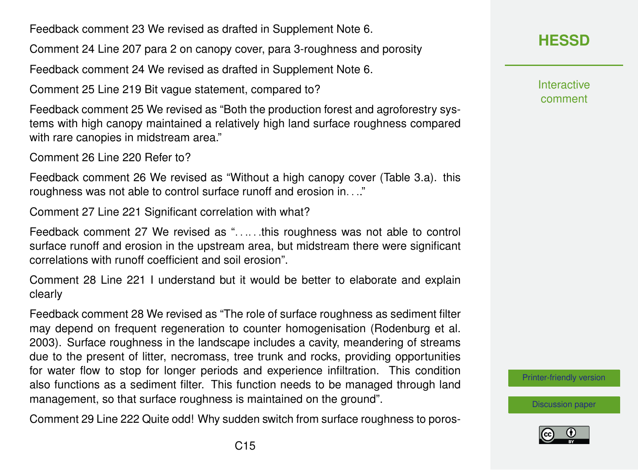Feedback comment 23 We revised as drafted in Supplement Note 6.

Comment 24 Line 207 para 2 on canopy cover, para 3-roughness and porosity

Feedback comment 24 We revised as drafted in Supplement Note 6.

Comment 25 Line 219 Bit vague statement, compared to?

Feedback comment 25 We revised as "Both the production forest and agroforestry systems with high canopy maintained a relatively high land surface roughness compared with rare canopies in midstream area."

Comment 26 Line 220 Refer to?

Feedback comment 26 We revised as "Without a high canopy cover (Table 3.a). this roughness was not able to control surface runoff and erosion in. . .."

Comment 27 Line 221 Significant correlation with what?

Feedback comment 27 We revised as ". . .. . .this roughness was not able to control surface runoff and erosion in the upstream area, but midstream there were significant correlations with runoff coefficient and soil erosion".

Comment 28 Line 221 I understand but it would be better to elaborate and explain clearly

Feedback comment 28 We revised as "The role of surface roughness as sediment filter may depend on frequent regeneration to counter homogenisation (Rodenburg et al. 2003). Surface roughness in the landscape includes a cavity, meandering of streams due to the present of litter, necromass, tree trunk and rocks, providing opportunities for water flow to stop for longer periods and experience infiltration. This condition also functions as a sediment filter. This function needs to be managed through land management, so that surface roughness is maintained on the ground".

Comment 29 Line 222 Quite odd! Why sudden switch from surface roughness to poros-

# **[HESSD](https://www.hydrol-earth-syst-sci-discuss.net/)**

**Interactive** comment

[Printer-friendly version](https://www.hydrol-earth-syst-sci-discuss.net/hess-2020-2/hess-2020-2-AC2-print.pdf)

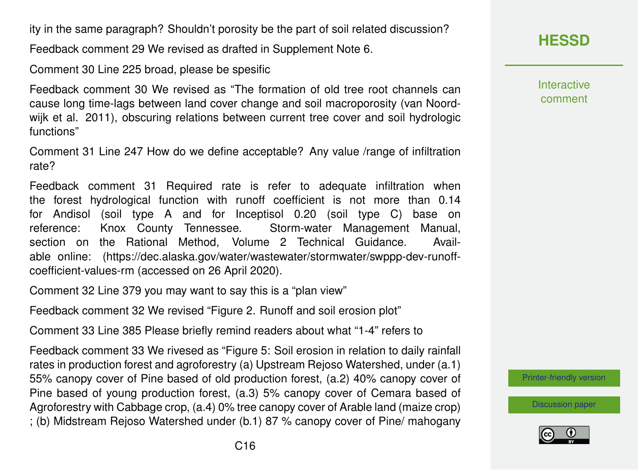ity in the same paragraph? Shouldn't porosity be the part of soil related discussion?

Feedback comment 29 We revised as drafted in Supplement Note 6.

Comment 30 Line 225 broad, please be spesific

Feedback comment 30 We revised as "The formation of old tree root channels can cause long time-lags between land cover change and soil macroporosity (van Noordwijk et al. 2011), obscuring relations between current tree cover and soil hydrologic functions"

Comment 31 Line 247 How do we define acceptable? Any value /range of infiltration rate?

Feedback comment 31 Required rate is refer to adequate infiltration when the forest hydrological function with runoff coefficient is not more than 0.14 for Andisol (soil type A and for Inceptisol 0.20 (soil type C) base on reference: Knox County Tennessee. Storm-water Management Manual, section on the Rational Method, Volume 2 Technical Guidance. Available online: (https://dec.alaska.gov/water/wastewater/stormwater/swppp-dev-runoffcoefficient-values-rm (accessed on 26 April 2020).

Comment 32 Line 379 you may want to say this is a "plan view"

Feedback comment 32 We revised "Figure 2. Runoff and soil erosion plot"

Comment 33 Line 385 Please briefly remind readers about what "1-4" refers to

Feedback comment 33 We rivesed as "Figure 5: Soil erosion in relation to daily rainfall rates in production forest and agroforestry (a) Upstream Rejoso Watershed, under (a.1) 55% canopy cover of Pine based of old production forest, (a.2) 40% canopy cover of Pine based of young production forest, (a.3) 5% canopy cover of Cemara based of Agroforestry with Cabbage crop, (a.4) 0% tree canopy cover of Arable land (maize crop) ; (b) Midstream Rejoso Watershed under (b.1) 87 % canopy cover of Pine/ mahogany

**Interactive** comment

[Printer-friendly version](https://www.hydrol-earth-syst-sci-discuss.net/hess-2020-2/hess-2020-2-AC2-print.pdf)

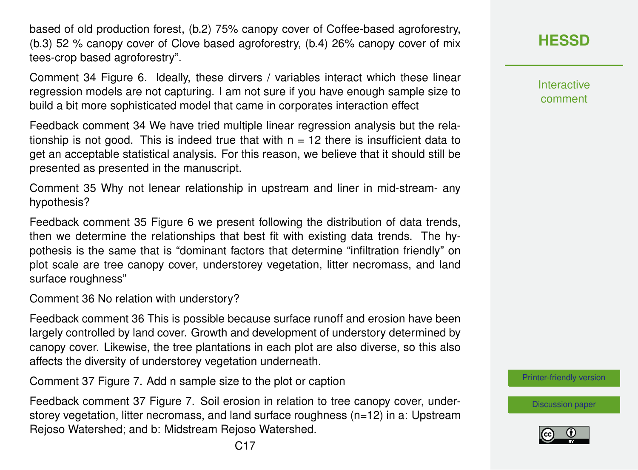based of old production forest, (b.2) 75% canopy cover of Coffee-based agroforestry, (b.3) 52 % canopy cover of Clove based agroforestry, (b.4) 26% canopy cover of mix tees-crop based agroforestry".

Comment 34 Figure 6. Ideally, these dirvers / variables interact which these linear regression models are not capturing. I am not sure if you have enough sample size to build a bit more sophisticated model that came in corporates interaction effect

Feedback comment 34 We have tried multiple linear regression analysis but the relationship is not good. This is indeed true that with  $n = 12$  there is insufficient data to get an acceptable statistical analysis. For this reason, we believe that it should still be presented as presented in the manuscript.

Comment 35 Why not lenear relationship in upstream and liner in mid-stream- any hypothesis?

Feedback comment 35 Figure 6 we present following the distribution of data trends, then we determine the relationships that best fit with existing data trends. The hypothesis is the same that is "dominant factors that determine "infiltration friendly" on plot scale are tree canopy cover, understorey vegetation, litter necromass, and land surface roughness"

Comment 36 No relation with understory?

Feedback comment 36 This is possible because surface runoff and erosion have been largely controlled by land cover. Growth and development of understory determined by canopy cover. Likewise, the tree plantations in each plot are also diverse, so this also affects the diversity of understorey vegetation underneath.

Comment 37 Figure 7. Add n sample size to the plot or caption

Feedback comment 37 Figure 7. Soil erosion in relation to tree canopy cover, understorey vegetation, litter necromass, and land surface roughness (n=12) in a: Upstream Rejoso Watershed; and b: Midstream Rejoso Watershed.

**Interactive** comment

[Printer-friendly version](https://www.hydrol-earth-syst-sci-discuss.net/hess-2020-2/hess-2020-2-AC2-print.pdf)